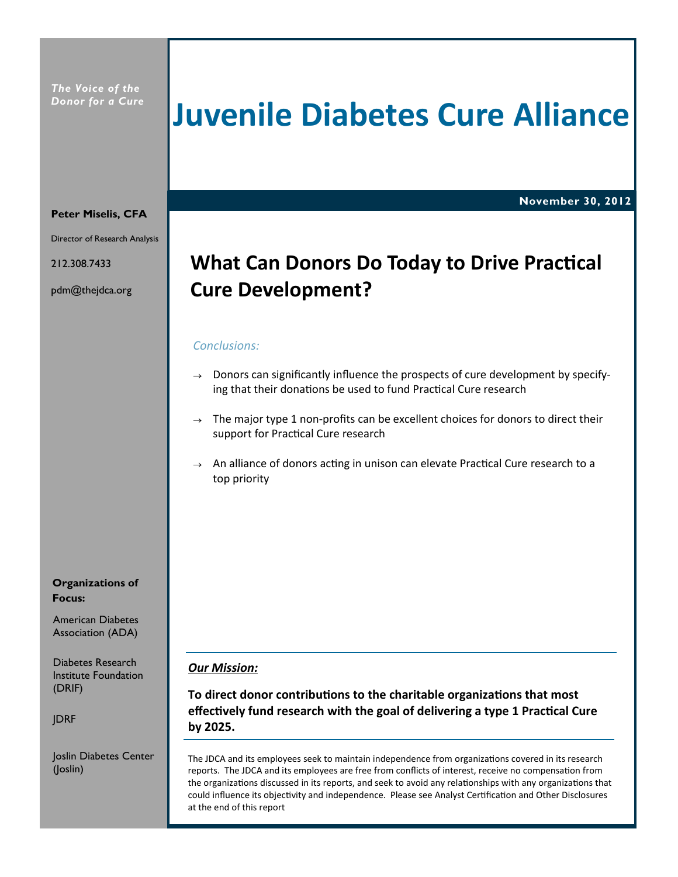## **Juvenile Diabetes Cure Alliance**

**November 30, 2012**

### **Peter Miselis, CFA**

Director of Research Analysis

212.308.7433

pdm@thejdca.org

## **What Can Donors Do Today to Drive Practical Cure Development?**

## *Conclusions:*

- $\rightarrow$  Donors can significantly influence the prospects of cure development by specifying that their donations be used to fund Practical Cure research
- $\rightarrow$  The major type 1 non-profits can be excellent choices for donors to direct their support for Practical Cure research
- $\rightarrow$  An alliance of donors acting in unison can elevate Practical Cure research to a top priority

## **Organizations of Focus:**

American Diabetes

Diabetes Research Institute Foundation (DRIF)

JDRF

Joslin Diabetes Center (Joslin)

## *Our Mission:*

**To direct donor contributions to the charitable organizations that most effectively fund research with the goal of delivering a type 1 Practical Cure by 2025.**

The JDCA and its employees seek to maintain independence from organizations covered in its research reports. The JDCA and its employees are free from conflicts of interest, receive no compensation from the organizations discussed in its reports, and seek to avoid any relationships with any organizations that could influence its objectivity and independence. Please see Analyst Certification and Other Disclosures at the end of this report

Association (ADA)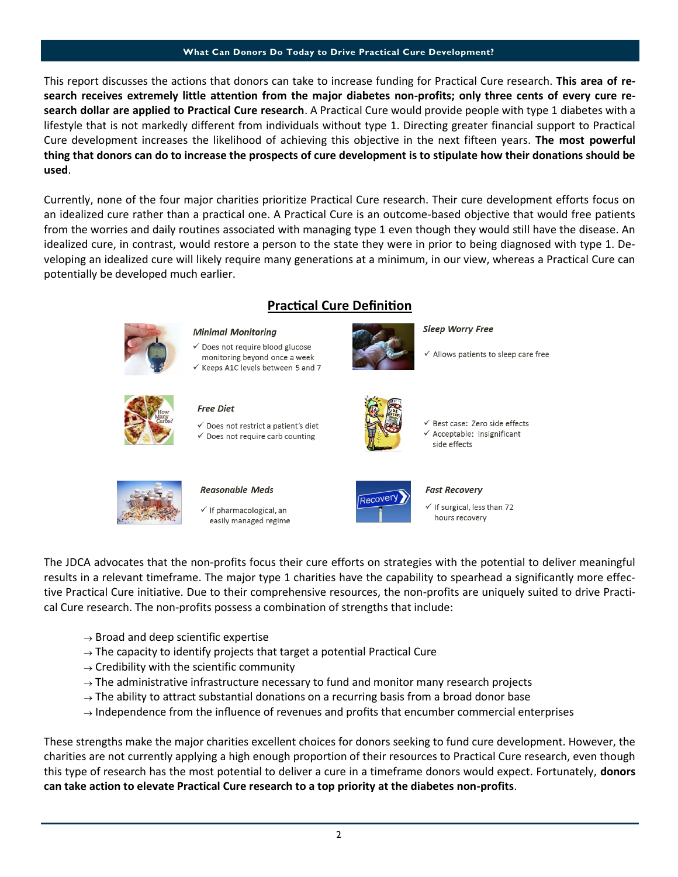#### **What Can Donors Do Today to Drive Practical Cure Development?**

This report discusses the actions that donors can take to increase funding for Practical Cure research. **This area of research receives extremely little attention from the major diabetes non-profits; only three cents of every cure research dollar are applied to Practical Cure research**. A Practical Cure would provide people with type 1 diabetes with a lifestyle that is not markedly different from individuals without type 1. Directing greater financial support to Practical Cure development increases the likelihood of achieving this objective in the next fifteen years. **The most powerful thing that donors can do to increase the prospects of cure development is to stipulate how their donations should be used**.

Currently, none of the four major charities prioritize Practical Cure research. Their cure development efforts focus on an idealized cure rather than a practical one. A Practical Cure is an outcome-based objective that would free patients from the worries and daily routines associated with managing type 1 even though they would still have the disease. An idealized cure, in contrast, would restore a person to the state they were in prior to being diagnosed with type 1. Developing an idealized cure will likely require many generations at a minimum, in our view, whereas a Practical Cure can potentially be developed much earlier.

**Practical Cure Definition**



 $\checkmark$  If pharmacological, an easily managed regime



 $\checkmark$  If surgical, less than 72 hours recovery

The JDCA advocates that the non-profits focus their cure efforts on strategies with the potential to deliver meaningful results in a relevant timeframe. The major type 1 charities have the capability to spearhead a significantly more effective Practical Cure initiative. Due to their comprehensive resources, the non-profits are uniquely suited to drive Practical Cure research. The non-profits possess a combination of strengths that include:

- $\rightarrow$  Broad and deep scientific expertise
- $\rightarrow$  The capacity to identify projects that target a potential Practical Cure
- $\rightarrow$  Credibility with the scientific community
- $\rightarrow$  The administrative infrastructure necessary to fund and monitor many research projects
- $\rightarrow$  The ability to attract substantial donations on a recurring basis from a broad donor base
- $\rightarrow$  Independence from the influence of revenues and profits that encumber commercial enterprises

These strengths make the major charities excellent choices for donors seeking to fund cure development. However, the charities are not currently applying a high enough proportion of their resources to Practical Cure research, even though this type of research has the most potential to deliver a cure in a timeframe donors would expect. Fortunately, **donors can take action to elevate Practical Cure research to a top priority at the diabetes non-profits**.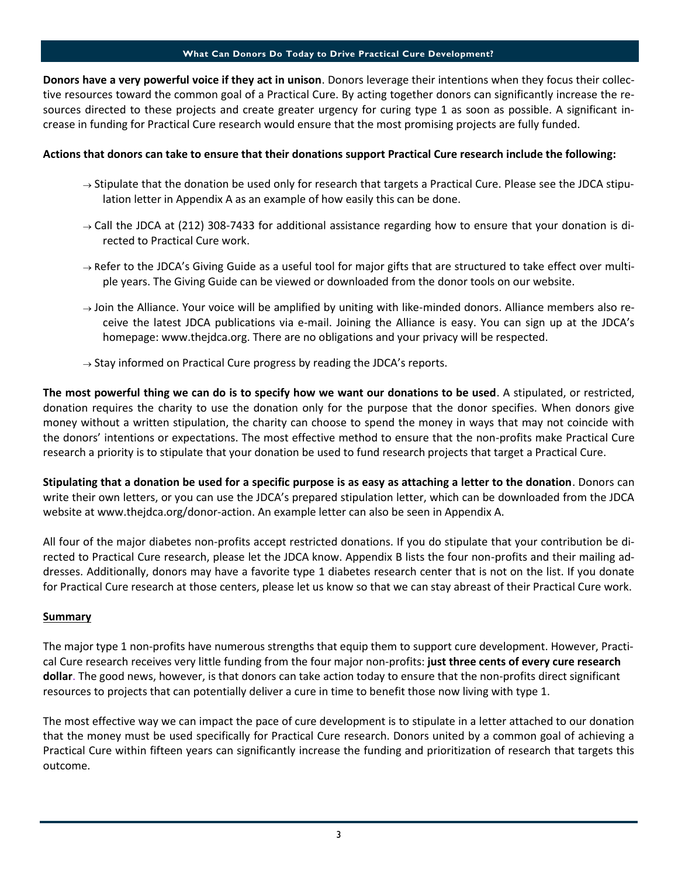### **What Can Donors Do Today to Drive Practical Cure Development?**

**Donors have a very powerful voice if they act in unison**. Donors leverage their intentions when they focus their collective resources toward the common goal of a Practical Cure. By acting together donors can significantly increase the resources directed to these projects and create greater urgency for curing type 1 as soon as possible. A significant increase in funding for Practical Cure research would ensure that the most promising projects are fully funded.

## **Actions that donors can take to ensure that their donations support Practical Cure research include the following:**

- $\rightarrow$  Stipulate that the donation be used only for research that targets a Practical Cure. Please see the JDCA stipulation letter in Appendix A as an example of how easily this can be done.
- $\rightarrow$  Call the JDCA at (212) 308-7433 for additional assistance regarding how to ensure that your donation is directed to Practical Cure work.
- $\rightarrow$  Refer to the JDCA's Giving Guide as a useful tool for major gifts that are structured to take effect over multiple years. The Giving Guide can be viewed or downloaded from the donor tools on our website.
- $\rightarrow$  Join the Alliance. Your voice will be amplified by uniting with like-minded donors. Alliance members also receive the latest JDCA publications via e-mail. Joining the Alliance is easy. You can sign up at the JDCA's homepage: www.thejdca.org. There are no obligations and your privacy will be respected.
- $\rightarrow$  Stay informed on Practical Cure progress by reading the JDCA's reports.

**The most powerful thing we can do is to specify how we want our donations to be used**. A stipulated, or restricted, donation requires the charity to use the donation only for the purpose that the donor specifies. When donors give money without a written stipulation, the charity can choose to spend the money in ways that may not coincide with the donors' intentions or expectations. The most effective method to ensure that the non-profits make Practical Cure research a priority is to stipulate that your donation be used to fund research projects that target a Practical Cure.

**Stipulating that a donation be used for a specific purpose is as easy as attaching a letter to the donation**. Donors can write their own letters, or you can use the JDCA's prepared stipulation letter, which can be downloaded from the JDCA website at www.thejdca.org/donor-action. An example letter can also be seen in Appendix A.

All four of the major diabetes non-profits accept restricted donations. If you do stipulate that your contribution be directed to Practical Cure research, please let the JDCA know. Appendix B lists the four non-profits and their mailing addresses. Additionally, donors may have a favorite type 1 diabetes research center that is not on the list. If you donate for Practical Cure research at those centers, please let us know so that we can stay abreast of their Practical Cure work.

## **Summary**

The major type 1 non-profits have numerous strengths that equip them to support cure development. However, Practical Cure research receives very little funding from the four major non-profits: **just three cents of every cure research dollar**. The good news, however, is that donors can take action today to ensure that the non-profits direct significant resources to projects that can potentially deliver a cure in time to benefit those now living with type 1.

The most effective way we can impact the pace of cure development is to stipulate in a letter attached to our donation that the money must be used specifically for Practical Cure research. Donors united by a common goal of achieving a Practical Cure within fifteen years can significantly increase the funding and prioritization of research that targets this outcome.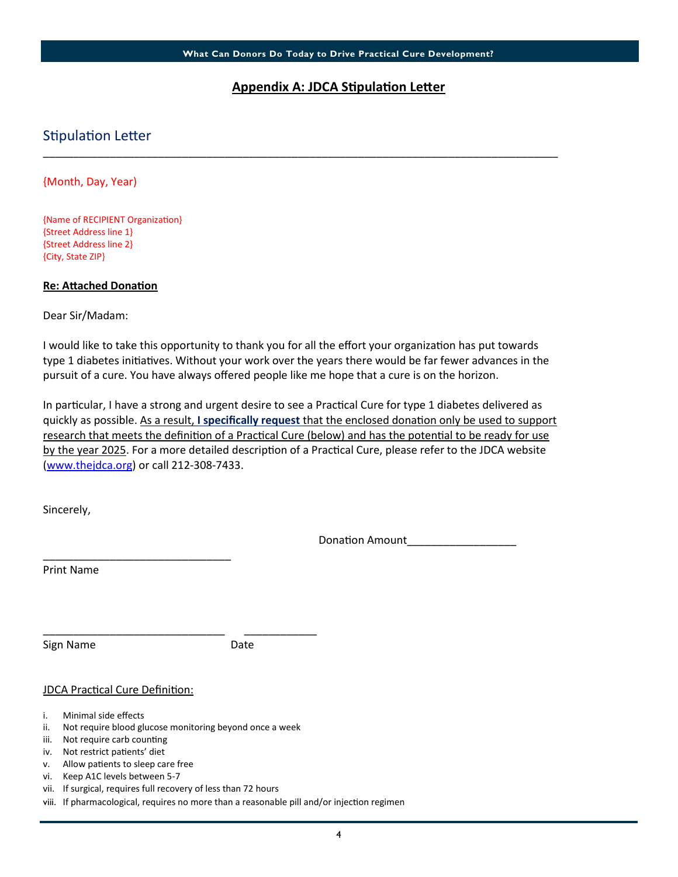## **Appendix A: JDCA Stipulation Letter**

## Stipulation Letter

{Month, Day, Year)

{Name of RECIPIENT Organization} {Street Address line 1} {Street Address line 2} {City, State ZIP}

## **Re: Attached Donation**

Dear Sir/Madam:

I would like to take this opportunity to thank you for all the effort your organization has put towards type 1 diabetes initiatives. Without your work over the years there would be far fewer advances in the pursuit of a cure. You have always offered people like me hope that a cure is on the horizon.

\_\_\_\_\_\_\_\_\_\_\_\_\_\_\_\_\_\_\_\_\_\_\_\_\_\_\_\_\_\_\_\_\_\_\_\_\_\_\_\_\_\_\_\_\_\_\_\_\_\_\_\_\_\_\_\_\_\_\_\_\_\_\_\_\_\_\_\_\_\_\_\_\_\_\_\_\_\_\_\_\_\_\_\_\_

In particular, I have a strong and urgent desire to see a Practical Cure for type 1 diabetes delivered as quickly as possible. As a result, **I specifically request** that the enclosed donation only be used to support research that meets the definition of a Practical Cure (below) and has the potential to be ready for use by the year 2025. For a more detailed description of a Practical Cure, please refer to the JDCA website (www.thejdca.org) or call 212-308-7433.

Sincerely,

Donation Amount\_\_\_\_\_\_\_\_\_\_\_\_\_\_\_\_\_\_

Print Name

Sign Name Date

## JDCA Practical Cure Definition:

\_\_\_\_\_\_\_\_\_\_\_\_\_\_\_\_\_\_\_\_\_\_\_\_\_\_\_\_\_\_\_

- i. Minimal side effects
- ii. Not require blood glucose monitoring beyond once a week

\_\_\_\_\_\_\_\_\_\_\_\_\_\_\_\_\_\_\_\_\_\_\_\_\_\_\_\_\_\_ \_\_\_\_\_\_\_\_\_\_\_\_

- iii. Not require carb counting
- iv. Not restrict patients' diet
- v. Allow patients to sleep care free
- vi. Keep A1C levels between 5-7
- vii. If surgical, requires full recovery of less than 72 hours
- viii. If pharmacological, requires no more than a reasonable pill and/or injection regimen